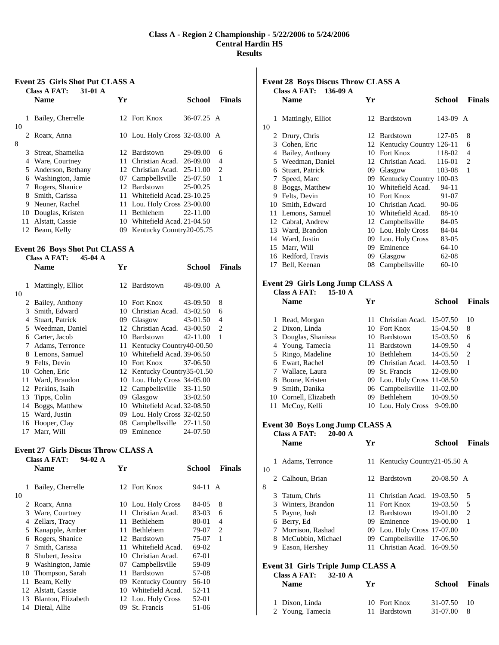### **Class A - Region 2 Championship - 5/22/2006 to 5/24/2006 Central Hardin HS Results**

#### **Event 25 Girls Shot Put CLASS A Class A FAT: 31-01 A**

|         |    | Скоз А ГАТ.<br>$J1$ $J1$<br><b>Name</b> | Yr  |                               | School       | <b>Finals</b>               |
|---------|----|-----------------------------------------|-----|-------------------------------|--------------|-----------------------------|
|         |    | Bailey, Cherrelle                       |     | 12 Fort Knox                  | $36-07.25$ A |                             |
| 10<br>8 |    | 2 Roarx, Anna                           |     | 10 Lou. Holy Cross 32-03.00 A |              |                             |
|         | 3  | Streat, Shameika                        |     | 12 Bardstown                  | 29-09.00     | 6                           |
|         | 4  | Ware, Courtney                          |     | 11 Christian Acad.            | $26-09.00$   | 4                           |
|         | 5  | Anderson, Bethany                       |     | 12 Christian Acad.            | $25-11.00$   | $\mathcal{D}_{\mathcal{L}}$ |
|         | 6  | Washington, Jamie                       |     | 07 Campbellsville 25-07.50    |              | 1                           |
|         |    | Rogers, Shanice                         | 12  | Bardstown                     | $25-00.25$   |                             |
|         | 8  | Smith, Carissa                          | 11. | Whitefield Acad, 23-10.25     |              |                             |
|         | 9  | Neuner, Rachel                          |     | 11 Lou. Holy Cross 23-00.00   |              |                             |
|         | 10 | Douglas, Kristen                        | 11. | <b>Bethlehem</b>              | 22-11.00     |                             |
|         | 11 | Alstatt, Cassie                         | 10  | Whitefield Acad. 21-04.50     |              |                             |
|         | 12 | Beam, Kelly                             | 09. | Kentucky Country20-05.75      |              |                             |

#### **Event 26 Boys Shot Put CLASS A Class A FAT: 45-04 A**

|         | Name              | Yr |                             | <b>School</b> | <b>Finals</b>               |
|---------|-------------------|----|-----------------------------|---------------|-----------------------------|
| 1       | Mattingly, Elliot |    | 12 Bardstown                | 48-09.00 A    |                             |
| 10<br>2 | Bailey, Anthony   | 10 | Fort Knox                   | 43-09.50      | 8                           |
| 3       | Smith, Edward     | 10 | Christian Acad. 43-02.50    |               | 6                           |
| 4       | Stuart, Patrick   | 09 | Glasgow                     | 43-01.50      | 4                           |
| 5       | Weedman, Daniel   |    | 12 Christian Acad. 43-00.50 |               | $\mathcal{D}_{\mathcal{L}}$ |
| 6       | Carter, Jacob     | 10 | Bardstown                   | 42-11.00      | 1                           |
| 7       | Adams, Terronce   | 11 | Kentucky Country40-00.50    |               |                             |
| 8       | Lemons, Samuel    | 10 | Whitefield Acad. 39-06.50   |               |                             |
| 9       | Felts, Devin      | 10 | Fort Knox                   | 37-06.50      |                             |
| 10      | Cohen, Eric       |    | 12 Kentucky Country35-01.50 |               |                             |
| 11      | Ward, Brandon     |    | 10 Lou. Holy Cross 34-05.00 |               |                             |
| 12      | Perkins, Isaih    | 12 | Campbellsville 33-11.50     |               |                             |
| 13      | Tipps, Colin      | 09 | Glasgow                     | 33-02.50      |                             |
| 14      | Boggs, Matthew    | 10 | Whitefield Acad. 32-08.50   |               |                             |
| 15      | Ward, Justin      | 09 | Lou. Holy Cross $32-02.50$  |               |                             |
| 16      | Hooper, Clay      | 08 | Campbellsville 27-11.50     |               |                             |
| 17      | Marr, Will        | 09 | Eminence                    | 24-07.50      |                             |

#### **Event 27 Girls Discus Throw CLASS A Class A FAT: 94-02 A**

|              | <b>Name</b>        | Yr  |                         | School  | <b>Finals</b> |
|--------------|--------------------|-----|-------------------------|---------|---------------|
| 1<br>10      | Bailey, Cherrelle  |     | 12 Fort Knox            | 94-11 A |               |
| $\mathbb{Z}$ | Roarx, Anna        |     | 10 Lou. Holy Cross      | 84-05   | 8             |
| 3            | Ware, Courtney     | 11. | Christian Acad.         | 83-03   | 6             |
| 4            | Zellars, Tracy     | 11  | Bethlehem               | 80-01   | 4             |
| 5            | Kanapple, Amber    | 11  | Bethlehem               | 79-07   | 2             |
| 6            | Rogers, Shanice    | 12  | Bardstown               | 75-07   | 1             |
| 7            | Smith, Carissa     | 11  | Whitefield Acad.        | 69-02   |               |
| 8            | Shubert, Jessica   | 10  | Christian Acad.         | 67-01   |               |
| 9            | Washington, Jamie  | 07  | Campbellsville          | 59-09   |               |
| 10           | Thompson, Sarah    | 11  | Bardstown               | 57-08   |               |
| 11           | Beam, Kelly        | 09. | <b>Kentucky Country</b> | 56-10   |               |
| 12           | Alstatt, Cassie    | 10  | Whitefield Acad.        | 52-11   |               |
| 13           | Blanton, Elizabeth |     | 12 Lou. Holy Cross      | 52-01   |               |
|              | 14 Dietal, Allie   | 09. | St. Francis             | 51-06   |               |

# **Event 28 Boys Discus Throw CLASS A**

| 136-09 A<br><b>Class A FAT:</b> |    |                   |    |                            |        |               |
|---------------------------------|----|-------------------|----|----------------------------|--------|---------------|
|                                 |    | <b>Name</b>       | Yr |                            | School | <b>Finals</b> |
|                                 | 1  | Mattingly, Elliot |    | 12 Bardstown               | 143-09 | A             |
| 10                              |    |                   |    |                            |        |               |
|                                 | 2  | Drury, Chris      |    | 12 Bardstown               | 127-05 | 8             |
|                                 | 3  | Cohen, Eric       |    | 12 Kentucky Country 126-11 |        | 6             |
|                                 | 4  | Bailey, Anthony   | 10 | Fort Knox                  | 118-02 | 4             |
|                                 | 5  | Weedman, Daniel   | 12 | Christian Acad.            | 116-01 | 2             |
|                                 | 6  | Stuart, Patrick   | 09 | Glasgow                    | 103-08 | 1             |
|                                 | 7  | Speed, Marc       | 09 | <b>Kentucky Country</b>    | 100-03 |               |
|                                 | 8  | Boggs, Matthew    | 10 | Whitefield Acad.           | 94-11  |               |
|                                 | 9  | Felts, Devin      | 10 | Fort Knox                  | 91-07  |               |
|                                 | 10 | Smith, Edward     | 10 | Christian Acad.            | 90-06  |               |
|                                 | 11 | Lemons, Samuel    | 10 | Whitefield Acad.           | 88-10  |               |
|                                 | 12 | Cabral, Andrew    |    | 12 Campbellsville          | 84-05  |               |
|                                 | 13 | Ward, Brandon     | 10 | Lou. Holy Cross            | 84-04  |               |
|                                 | 14 | Ward, Justin      | 09 | Lou. Holy Cross            | 83-05  |               |
|                                 | 15 | Marr, Will        | 09 | Eminence                   | 64-10  |               |
|                                 | 16 | Redford, Travis   | 09 | Glasgow                    | 62-08  |               |
|                                 | 17 | Bell, Keenan      | 08 | Campbellsville             | 60-10  |               |
|                                 |    |                   |    |                            |        |               |

## **Event 29 Girls Long Jump CLASS A**

|    | $15-10$ A<br><b>Class A FAT:</b> |              |                             |              |               |  |  |  |
|----|----------------------------------|--------------|-----------------------------|--------------|---------------|--|--|--|
|    | <b>Name</b>                      | Yr           |                             | School       | <b>Finals</b> |  |  |  |
|    |                                  |              |                             |              |               |  |  |  |
|    | Read, Morgan                     |              | 11 Christian Acad.          | 15-07.50     | 10            |  |  |  |
|    | 2 Dixon, Linda                   |              | 10 Fort Knox                | 15-04.50     | 8             |  |  |  |
|    | 3 Douglas, Shanissa              | $10^{\circ}$ | Bardstown                   | 15-03.50     | 6             |  |  |  |
|    | 4 Young, Tamecia                 | 11.          | Bardstown                   | 14-09.50     | 4             |  |  |  |
|    | 5 Ringo, Madeline                |              | 10 Bethlehem                | 14-05.50     | 2             |  |  |  |
| 6  | Ewart, Rachel                    |              | 09 Christian Acad.          | $14 - 03.50$ | 1             |  |  |  |
| 7  | Wallace, Laura                   | 09           | St. Francis                 | 12-09.00     |               |  |  |  |
| 8  | Boone, Kristen                   |              | 09 Lou. Holy Cross 11-08.50 |              |               |  |  |  |
| 9  | Smith, Danika                    |              | 06 Campbellsville           | 11-02.00     |               |  |  |  |
| 10 | Cornell, Elizabeth               | 09           | Bethlehem                   | 10-09.50     |               |  |  |  |
|    | 11 McCoy, Kelli                  |              | 10 Lou. Holy Cross          | $9 - 09.00$  |               |  |  |  |

# **Event 30 Boys Long Jump CLASS A Class A FAT: 20-00 A**

|    |    | <b>Name</b>        | Yг  |                               | <b>School</b> | <b>Finals</b> |
|----|----|--------------------|-----|-------------------------------|---------------|---------------|
| 10 |    | Adams, Terronce    |     | 11 Kentucky Country21-05.50 A |               |               |
| 8  |    | Calhoun, Brian     |     | 12. Bardstown                 | $20-08.50$ A  |               |
|    |    | 3 Tatum, Chris     |     | 11 Christian Acad.            | 19-03.50      | 5             |
|    |    | 3 Winters, Brandon |     | 11 Fort Knox                  | 19-03.50      | 5             |
|    |    | 5 Payne, Josh      |     | 12 Bardstown                  | 19-01.00      | $\mathcal{D}$ |
|    | 6. | Berry, Ed          |     | 09 Eminence                   | 19-00.00      |               |
|    |    | 7 Morrison, Rashad |     | 09 Lou. Holy Cross 17-07.00   |               |               |
|    | 8. | McCubbin, Michael  | 09. | Campbellsville                | 17-06.50      |               |
|    | 9  | Eason, Hershey     |     | Christian Acad. 16-09.50      |               |               |
|    |    |                    |     |                               |               |               |

#### **Event 31 Girls Triple Jump CLASS A Class A FAT: 32-10 A**

| <b>CROSTA PAL</b> .<br>$\frac{1}{2}$<br><b>Name</b> | Vr           | <b>School</b> Finals |     |
|-----------------------------------------------------|--------------|----------------------|-----|
| 1 Dixon, Linda                                      | 10 Fort Knox | 31-07.50 10          |     |
| 2 Young, Tamecia                                    | 11 Bardstown | 31-07.00             | - 8 |